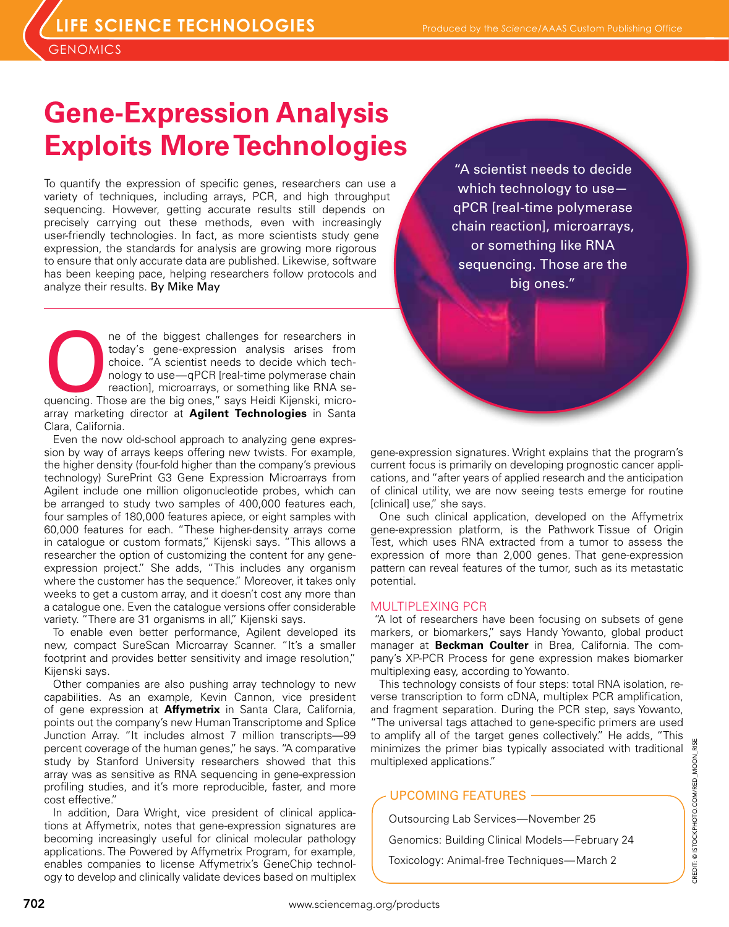**GENOMICS** 

# **Gene-Expression Analysis Exploits More Technologies**

To quantify the expression of specific genes, researchers can use a variety of techniques, including arrays, PCR, and high throughput sequencing. However, getting accurate results still depends on precisely carrying out these methods, even with increasingly user-friendly technologies. In fact, as more scientists study gene expression, the standards for analysis are growing more rigorous to ensure that only accurate data are published. Likewise, software has been keeping pace, helping researchers follow protocols and analyze their results. By Mike May

ne of the biggest challenges for researchers in today's gene-expression analysis arises from choice. "A scientist needs to decide which technology to use—qPCR [real-time polymerase chain reaction], microarrays, or somethin today's gene-expression analysis arises from choice. "A scientist needs to decide which technology to use—qPCR [real-time polymerase chain reaction], microarrays, or something like RNA searray marketing director at **Agilent Technologies** in Santa Clara, California.

Even the now old-school approach to analyzing gene expression by way of arrays keeps offering new twists. For example, the higher density (four-fold higher than the company's previous technology) SurePrint G3 Gene Expression Microarrays from Agilent include one million oligonucleotide probes, which can be arranged to study two samples of 400,000 features each, four samples of 180,000 features apiece, or eight samples with 60,000 features for each. "These higher-density arrays come in catalogue or custom formats," Kijenski says. "This allows a researcher the option of customizing the content for any geneexpression project." She adds, "This includes any organism where the customer has the sequence." Moreover, it takes only weeks to get a custom array, and it doesn't cost any more than a catalogue one. Even the catalogue versions offer considerable variety. "There are 31 organisms in all," Kijenski says.

To enable even better performance, Agilent developed its new, compact SureScan Microarray Scanner. "It's a smaller footprint and provides better sensitivity and image resolution," Kijenski says.

Other companies are also pushing array technology to new capabilities. As an example, Kevin Cannon, vice president of gene expression at **Affymetrix** in Santa Clara, California, points out the company's new Human Transcriptome and Splice Junction Array. "It includes almost 7 million transcripts—99 percent coverage of the human genes," he says. "A comparative study by Stanford University researchers showed that this array was as sensitive as RNA sequencing in gene-expression profiling studies, and it's more reproducible, faster, and more cost effective."

In addition, Dara Wright, vice president of clinical applications at Affymetrix, notes that gene-expression signatures are becoming increasingly useful for clinical molecular pathology applications. The Powered by Affymetrix Program, for example, enables companies to license Affymetrix's GeneChip technology to develop and clinically validate devices based on multiplex

"A scientist needs to decide which technology to use qPCR [real-time polymerase chain reaction], microarrays, or something like RNA sequencing. Those are the big ones."

gene-expression signatures. Wright explains that the program's current focus is primarily on developing prognostic cancer applications, and "after years of applied research and the anticipation of clinical utility, we are now seeing tests emerge for routine [clinical] use," she says.

One such clinical application, developed on the Affymetrix gene-expression platform, is the Pathwork Tissue of Origin Test, which uses RNA extracted from a tumor to assess the expression of more than 2,000 genes. That gene-expression pattern can reveal features of the tumor, such as its metastatic potential.

# MULTIPLEXING PCR

"A lot of researchers have been focusing on subsets of gene markers, or biomarkers," says Handy Yowanto, global product manager at **Beckman Coulter** in Brea, California. The company's XP-PCR Process for gene expression makes biomarker multiplexing easy, according to Yowanto.

This technology consists of four steps: total RNA isolation, reverse transcription to form cDNA, multiplex PCR amplification, and fragment separation. During the PCR step, says Yowanto, "The universal tags attached to gene-specific primers are used to amplify all of the target genes collectively." He adds, "This minimizes the primer bias typically associated with traditional multiplexed applications."

# UPCOMING FEATURES

Outsourcing Lab Services—November 25 Genomics: Building Clinical Models—February 24 Toxicology: Animal-free Techniques—March 2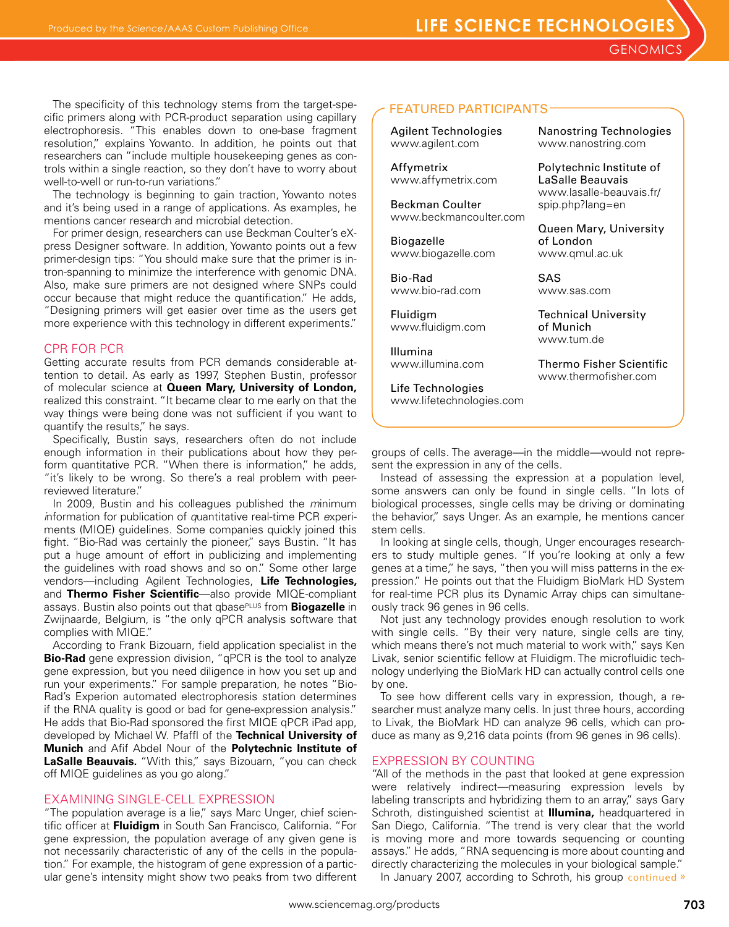The specificity of this technology stems from the target-spe-<br>
FEATURED PARTICIPANTS cific primers along with PCR-product separation using capillary electrophoresis. "This enables down to one-base fragment resolution," explains Yowanto. In addition, he points out that researchers can "include multiple housekeeping genes as controls within a single reaction, so they don't have to worry about well-to-well or run-to-run variations."

The technology is beginning to gain traction, Yowanto notes and it's being used in a range of applications. As examples, he mentions cancer research and microbial detection.

For primer design, researchers can use Beckman Coulter's eXpress Designer software. In addition, Yowanto points out a few primer-design tips: "You should make sure that the primer is intron-spanning to minimize the interference with genomic DNA. Also, make sure primers are not designed where SNPs could occur because that might reduce the quantification." He adds, "Designing primers will get easier over time as the users get more experience with this technology in different experiments."

# CPR FOR PCR

Getting accurate results from PCR demands considerable attention to detail. As early as 1997, Stephen Bustin, professor of molecular science at **Queen Mary, University of London,** realized this constraint. "It became clear to me early on that the way things were being done was not sufficient if you want to quantify the results," he says.

Specifically, Bustin says, researchers often do not include enough information in their publications about how they perform quantitative PCR. "When there is information," he adds, "it's likely to be wrong. So there's a real problem with peerreviewed literature."

In 2009, Bustin and his colleagues published the *m*inimum *i*nformation for publication of *q*uantitative real-time PCR *e*xperiments (MIQE) guidelines. Some companies quickly joined this fight. "Bio-Rad was certainly the pioneer," says Bustin. "It has put a huge amount of effort in publicizing and implementing the guidelines with road shows and so on." Some other large vendors—including Agilent Technologies, **Life Technologies,**  and **Thermo Fisher Scientific**—also provide MIQE-compliant assays. Bustin also points out that qbasePLUS from **Biogazelle** in Zwijnaarde, Belgium, is "the only qPCR analysis software that complies with MIQE."

According to Frank Bizouarn, field application specialist in the **Bio-Rad** gene expression division, "qPCR is the tool to analyze gene expression, but you need diligence in how you set up and run your experiments." For sample preparation, he notes "Bio-Rad's Experion automated electrophoresis station determines if the RNA quality is good or bad for gene-expression analysis." He adds that Bio-Rad sponsored the first MIQE qPCR iPad app, developed by Michael W. Pfaffl of the **Technical University of Munich** and Afif Abdel Nour of the **Polytechnic Institute of LaSalle Beauvais.** "With this," says Bizouarn, "you can check off MIQE guidelines as you go along."

# EXAMINING SINGLE-CELL EXPRESSION

"The population average is a lie," says Marc Unger, chief scientific officer at **Fluidigm** in South San Francisco, California. "For gene expression, the population average of any given gene is not necessarily characteristic of any of the cells in the population." For example, the histogram of gene expression of a particular gene's intensity might show two peaks from two different

Agilent Technologies www.agilent.com

Affymetrix www.affymetrix.com

Beckman Coulter www.beckmancoulter.com

Biogazelle www.biogazelle.com

Bio-Rad www.bio-rad.com

Fluidigm www.fluidigm.com

Illumina www.illumina.com

Life Technologies www.lifetechnologies.com Nanostring Technologies www.nanostring.com

Polytechnic Institute of LaSalle Beauvais www.lasalle-beauvais.fr/ spip.php?lang=en

Queen Mary, University of London www.qmul.ac.uk

SAS www.sas.com

Technical University of Munich www.tum.de

Thermo Fisher Scientific www.thermofisher.com

groups of cells. The average—in the middle—would not represent the expression in any of the cells.

Instead of assessing the expression at a population level, some answers can only be found in single cells. "In lots of biological processes, single cells may be driving or dominating the behavior," says Unger. As an example, he mentions cancer stem cells.

In looking at single cells, though, Unger encourages researchers to study multiple genes. "If you're looking at only a few genes at a time," he says, "then you will miss patterns in the expression." He points out that the Fluidigm BioMark HD System for real-time PCR plus its Dynamic Array chips can simultaneously track 96 genes in 96 cells.

Not just any technology provides enough resolution to work with single cells. "By their very nature, single cells are tiny, which means there's not much material to work with," says Ken Livak, senior scientific fellow at Fluidigm. The microfluidic technology underlying the BioMark HD can actually control cells one by one.

To see how different cells vary in expression, though, a researcher must analyze many cells. In just three hours, according to Livak, the BioMark HD can analyze 96 cells, which can produce as many as 9,216 data points (from 96 genes in 96 cells).

# EXPRESSION BY COUNTING

"All of the methods in the past that looked at gene expression were relatively indirect—measuring expression levels by labeling transcripts and hybridizing them to an array," says Gary Schroth, distinguished scientist at **Illumina,** headquartered in San Diego, California. "The trend is very clear that the world is moving more and more towards sequencing or counting assays." He adds, "RNA sequencing is more about counting and directly characterizing the molecules in your biological sample."

In January 2007, according to Schroth, his group continued »